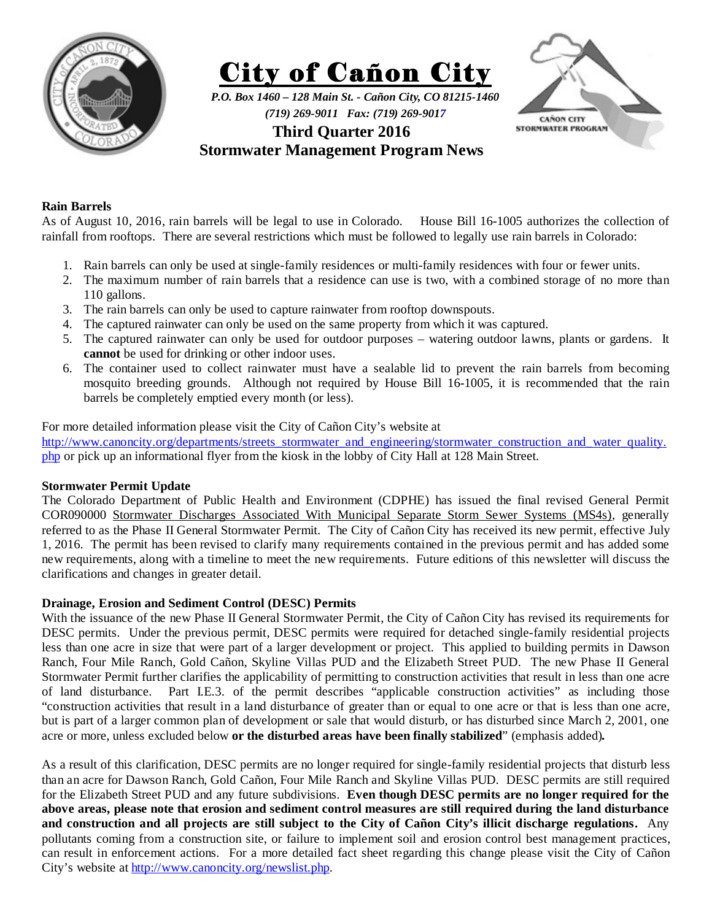



*(719) 269-9011 Fax: (719) 269-9017* 



# **Third Quarter 2016 Stormwater Management Program News**

# **Rain Barrels**

As of August 10, 2016, rain barrels will be legal to use in Colorado. House Bill 16-1005 authorizes the collection of rainfall from rooftops. There are several restrictions which must be followed to legally use rain barrels in Colorado:

- 1. Rain barrels can only be used at single-family residences or multi-family residences with four or fewer units.
- 2. The maximum number of rain barrels that a residence can use is two, with a combined storage of no more than 110 gallons.
- 3. The rain barrels can only be used to capture rainwater from rooftop downspouts.
- 4. The captured rainwater can only be used on the same property from which it was captured.
- 5. The captured rainwater can only be used for outdoor purposes watering outdoor lawns, plants or gardens. It **cannot** be used for drinking or other indoor uses.
- 6. The container used to collect rainwater must have a sealable lid to prevent the rain barrels from becoming mosquito breeding grounds. Although not required by House Bill 16-1005, it is recommended that the rain barrels be completely emptied every month (or less).

For more detailed information please visit the City of Cañon City's website at

http://www.canoncity.org/departments/streets\_stormwater\_and\_engineering/stormwater\_construction\_and\_water\_quality. php or pick up an informational flyer from the kiosk in the lobby of City Hall at 128 Main Street.

## **Stormwater Permit Update**

The Colorado Department of Public Health and Environment (CDPHE) has issued the final revised General Permit COR090000 Stormwater Discharges Associated With Municipal Separate Storm Sewer Systems (MS4s), generally referred to as the Phase II General Stormwater Permit. The City of Cañon City has received its new permit, effective July 1, 2016. The permit has been revised to clarify many requirements contained in the previous permit and has added some new requirements, along with a timeline to meet the new requirements. Future editions of this newsletter will discuss the clarifications and changes in greater detail.

## **Drainage, Erosion and Sediment Control (DESC) Permits**

With the issuance of the new Phase II General Stormwater Permit, the City of Cañon City has revised its requirements for DESC permits. Under the previous permit, DESC permits were required for detached single-family residential projects less than one acre in size that were part of a larger development or project. This applied to building permits in Dawson Ranch, Four Mile Ranch, Gold Cañon, Skyline Villas PUD and the Elizabeth Street PUD. The new Phase II General Stormwater Permit further clarifies the applicability of permitting to construction activities that result in less than one acre of land disturbance. Part I.E.3. of the permit describes "applicable construction activities" as including those "construction activities that result in a land disturbance of greater than or equal to one acre or that is less than one acre, but is part of a larger common plan of development or sale that would disturb, or has disturbed since March 2, 2001, one acre or more, unless excluded below **or the disturbed areas have been finally stabilized**" (emphasis added)**.** 

As a result of this clarification, DESC permits are no longer required for single-family residential projects that disturb less than an acre for Dawson Ranch, Gold Cañon, Four Mile Ranch and Skyline Villas PUD. DESC permits are still required for the Elizabeth Street PUD and any future subdivisions. **Even though DESC permits are no longer required for the above areas, please note that erosion and sediment control measures are still required during the land disturbance and construction and all projects are still subject to the City of Cañon City's illicit discharge regulations.** Any pollutants coming from a construction site, or failure to implement soil and erosion control best management practices, can result in enforcement actions. For a more detailed fact sheet regarding this change please visit the City of Cañon City's website at http://www.canoncity.org/newslist.php.